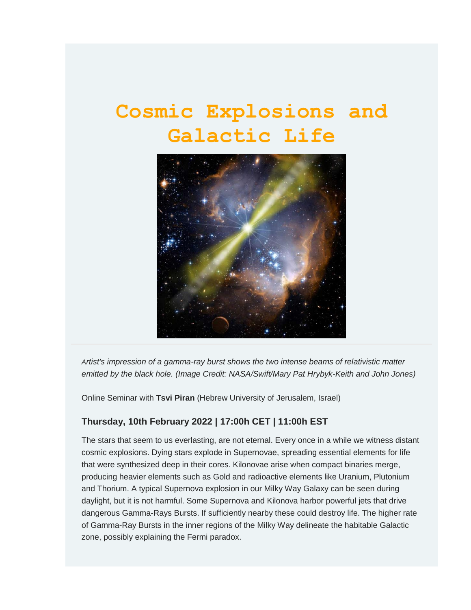# **Cosmic Explosions and Galactic Life**



*Artist's impression of a gamma-ray burst shows the two intense beams of relativistic matter emitted by the black hole. (Image Credit: NASA/Swift/Mary Pat Hrybyk-Keith and John Jones)*

Online Seminar with **Tsvi Piran** (Hebrew University of Jerusalem, Israel)

#### **Thursday, 10th February 2022 | 17:00h CET | 11:00h EST**

The stars that seem to us everlasting, are not eternal. Every once in a while we witness distant cosmic explosions. Dying stars explode in Supernovae, spreading essential elements for life that were synthesized deep in their cores. Kilonovae arise when compact binaries merge, producing heavier elements such as Gold and radioactive elements like Uranium, Plutonium and Thorium. A typical Supernova explosion in our Milky Way Galaxy can be seen during daylight, but it is not harmful. Some Supernova and Kilonova harbor powerful jets that drive dangerous Gamma-Rays Bursts. If sufficiently nearby these could destroy life. The higher rate of Gamma-Ray Bursts in the inner regions of the Milky Way delineate the habitable Galactic zone, possibly explaining the Fermi paradox.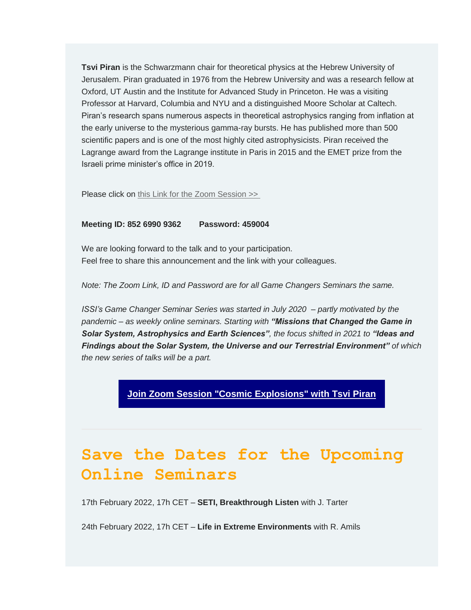**Tsvi Piran** is the Schwarzmann chair for theoretical physics at the Hebrew University of Jerusalem. Piran graduated in 1976 from the Hebrew University and was a research fellow at Oxford, UT Austin and the Institute for Advanced Study in Princeton. He was a visiting Professor at Harvard, Columbia and NYU and a distinguished Moore Scholar at Caltech. Piran's research spans numerous aspects in theoretical astrophysics ranging from inflation at the early universe to the mysterious gamma-ray bursts. He has published more than 500 scientific papers and is one of the most highly cited astrophysicists. Piran received the Lagrange award from the Lagrange institute in Paris in 2015 and the EMET prize from the Israeli prime minister's office in 2019.

Please click on [this Link for the Zoom Session](https://issibern.us14.list-manage.com/track/click?u=51de28ad9120232dba84ebdb1&id=781fcc37a7&e=bda81913f7) [>>](https://issibern.us14.list-manage.com/track/click?u=51de28ad9120232dba84ebdb1&id=0ac44fd2f3&e=bda81913f7)

#### **Meeting ID: 852 6990 9362 Password: 459004**

We are looking forward to the talk and to your participation. Feel free to share this announcement and the link with your colleagues.

*Note: The Zoom Link, ID and Password are for all Game Changers Seminars the same.*

*ISSI's Game Changer Seminar Series was started in July 2020 – partly motivated by the pandemic – as weekly online seminars. Starting with "Missions that Changed the Game in Solar System, Astrophysics and Earth Sciences", the focus shifted in 2021 to "Ideas and Findings about the Solar System, the Universe and our Terrestrial Environment" of which the new series of talks will be a part.*

#### **[Join Zoom Session "Cosmic Explosions" with Tsvi Piran](https://issibern.us14.list-manage.com/track/click?u=51de28ad9120232dba84ebdb1&id=daa1005235&e=bda81913f7)**

## **Save the Dates for the Upcoming Online Seminars**

17th February 2022, 17h CET – **SETI, Breakthrough Listen** with J. Tarter

24th February 2022, 17h CET – **Life in Extreme Environments** with R. Amils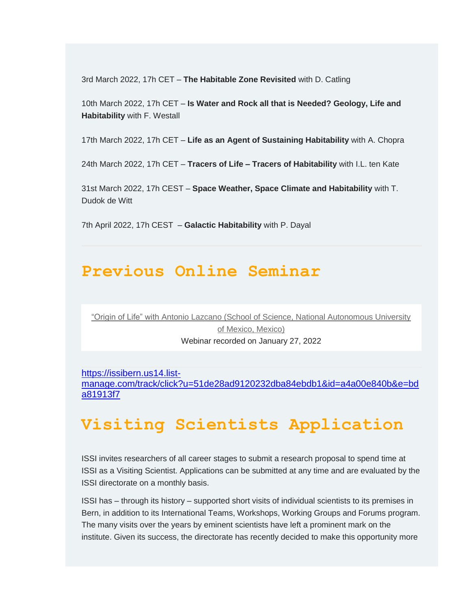3rd March 2022, 17h CET – **The Habitable Zone Revisited** with D. Catling

10th March 2022, 17h CET – **Is Water and Rock all that is Needed? Geology, Life and Habitability** with F. Westall

17th March 2022, 17h CET – **Life as an Agent of Sustaining Habitability** with A. Chopra

24th March 2022, 17h CET – **Tracers of Life – Tracers of Habitability** with I.L. ten Kate

31st March 2022, 17h CEST – **Space Weather, Space Climate and Habitability** with T. Dudok de Witt

7th April 2022, 17h CEST – **Galactic Habitability** with P. Dayal

### **Previous Online Seminar**

"Origin of Life" with [Antonio Lazcano \(School of Science, National Autonomous University](https://issibern.us14.list-manage.com/track/click?u=51de28ad9120232dba84ebdb1&id=ff05830e74&e=bda81913f7)  [of Mexico, Mexico\)](https://issibern.us14.list-manage.com/track/click?u=51de28ad9120232dba84ebdb1&id=ff05830e74&e=bda81913f7) Webinar recorded on January 27, 2022

[https://issibern.us14.list](https://issibern.us14.list-manage.com/track/click?u=51de28ad9120232dba84ebdb1&id=a4a00e840b&e=bda81913f7)[manage.com/track/click?u=51de28ad9120232dba84ebdb1&id=a4a00e840b&e=bd](https://issibern.us14.list-manage.com/track/click?u=51de28ad9120232dba84ebdb1&id=a4a00e840b&e=bda81913f7) [a81913f7](https://issibern.us14.list-manage.com/track/click?u=51de28ad9120232dba84ebdb1&id=a4a00e840b&e=bda81913f7)

## **Visiting Scientists Application**

ISSI invites researchers of all career stages to submit a research proposal to spend time at ISSI as a Visiting Scientist. Applications can be submitted at any time and are evaluated by the ISSI directorate on a monthly basis.

ISSI has – through its history – supported short visits of individual scientists to its premises in Bern, in addition to its International Teams, Workshops, Working Groups and Forums program. The many visits over the years by eminent scientists have left a prominent mark on the institute. Given its success, the directorate has recently decided to make this opportunity more